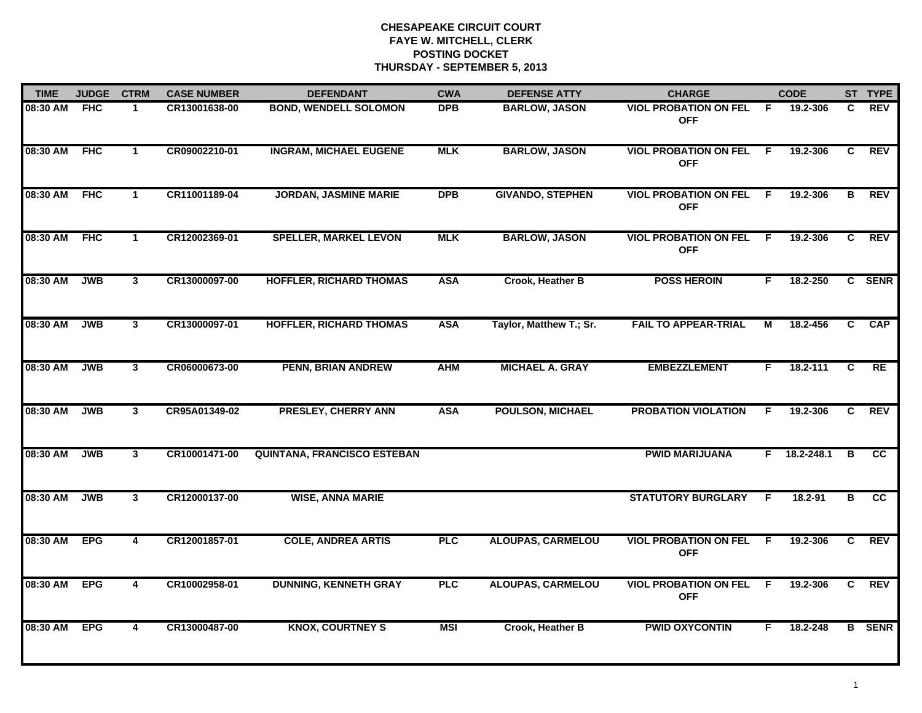| <b>TIME</b>  | <b>JUDGE</b> | <b>CTRM</b>             | <b>CASE NUMBER</b> | <b>DEFENDANT</b>                   | <b>CWA</b> | <b>DEFENSE ATTY</b>      | <b>CHARGE</b>                                |                | <b>CODE</b>  |    | ST TYPE       |
|--------------|--------------|-------------------------|--------------------|------------------------------------|------------|--------------------------|----------------------------------------------|----------------|--------------|----|---------------|
| 08:30 AM     | <b>FHC</b>   | 1                       | CR13001638-00      | <b>BOND, WENDELL SOLOMON</b>       | <b>DPB</b> | <b>BARLOW, JASON</b>     | <b>VIOL PROBATION ON FEL</b><br><b>OFF</b>   | -F             | 19.2-306     | C. | <b>REV</b>    |
| 08:30 AM     | <b>FHC</b>   | $\mathbf{1}$            | CR09002210-01      | <b>INGRAM, MICHAEL EUGENE</b>      | <b>MLK</b> | <b>BARLOW, JASON</b>     | <b>VIOL PROBATION ON FEL</b><br><b>OFF</b>   | $\overline{F}$ | 19.2-306     | C  | REV           |
| 08:30 AM     | <b>FHC</b>   | $\mathbf{1}$            | CR11001189-04      | <b>JORDAN, JASMINE MARIE</b>       | <b>DPB</b> | <b>GIVANDO, STEPHEN</b>  | <b>VIOL PROBATION ON FEL</b><br><b>OFF</b>   | -F             | 19.2-306     | в  | <b>REV</b>    |
| 08:30 AM     | <b>FHC</b>   | $\mathbf 1$             | CR12002369-01      | <b>SPELLER, MARKEL LEVON</b>       | <b>MLK</b> | <b>BARLOW, JASON</b>     | <b>VIOL PROBATION ON FEL</b><br><b>OFF</b>   | - F            | 19.2-306     | C  | <b>REV</b>    |
| 08:30 AM     | <b>JWB</b>   | $\mathbf{3}$            | CR13000097-00      | <b>HOFFLER, RICHARD THOMAS</b>     | <b>ASA</b> | Crook, Heather B         | <b>POSS HEROIN</b>                           | F.             | 18.2-250     |    | C SENR        |
| 08:30 AM     | <b>JWB</b>   | $\mathbf{3}$            | CR13000097-01      | <b>HOFFLER, RICHARD THOMAS</b>     | <b>ASA</b> | Taylor, Matthew T.; Sr.  | <b>FAIL TO APPEAR-TRIAL</b>                  | М              | 18.2-456     | C. | <b>CAP</b>    |
| 08:30 AM     | <b>JWB</b>   | $\mathbf{3}$            | CR06000673-00      | <b>PENN, BRIAN ANDREW</b>          | <b>AHM</b> | <b>MICHAEL A. GRAY</b>   | <b>EMBEZZLEMENT</b>                          | F.             | $18.2 - 111$ | C  | RE            |
| 08:30 AM     | <b>JWB</b>   | $\overline{3}$          | CR95A01349-02      | <b>PRESLEY, CHERRY ANN</b>         | <b>ASA</b> | <b>POULSON, MICHAEL</b>  | <b>PROBATION VIOLATION</b>                   | F              | 19.2-306     | C  | REV           |
| 08:30 AM     | <b>JWB</b>   | 3                       | CR10001471-00      | <b>QUINTANA, FRANCISCO ESTEBAN</b> |            |                          | <b>PWID MARIJUANA</b>                        | F.             | 18.2-248.1   | в  | <b>CC</b>     |
| 08:30 AM     | <b>JWB</b>   | $\mathbf{3}$            | CR12000137-00      | <b>WISE, ANNA MARIE</b>            |            |                          | <b>STATUTORY BURGLARY</b>                    | F.             | $18.2 - 91$  | В  | cc            |
| 08:30 AM EPG |              | 4                       | CR12001857-01      | <b>COLE, ANDREA ARTIS</b>          | <b>PLC</b> | <b>ALOUPAS, CARMELOU</b> | <b>VIOL PROBATION ON FEL F</b><br><b>OFF</b> |                | 19.2-306     | C  | <b>REV</b>    |
| 08:30 AM     | <b>EPG</b>   | 4                       | CR10002958-01      | <b>DUNNING, KENNETH GRAY</b>       | <b>PLC</b> | <b>ALOUPAS, CARMELOU</b> | <b>VIOL PROBATION ON FEL</b><br><b>OFF</b>   | - F            | 19.2-306     | C  | <b>REV</b>    |
| 08:30 AM     | <b>EPG</b>   | $\overline{\mathbf{4}}$ | CR13000487-00      | <b>KNOX, COURTNEY S</b>            | <b>MSI</b> | <b>Crook, Heather B</b>  | <b>PWID OXYCONTIN</b>                        | F              | 18.2-248     |    | <b>B</b> SENR |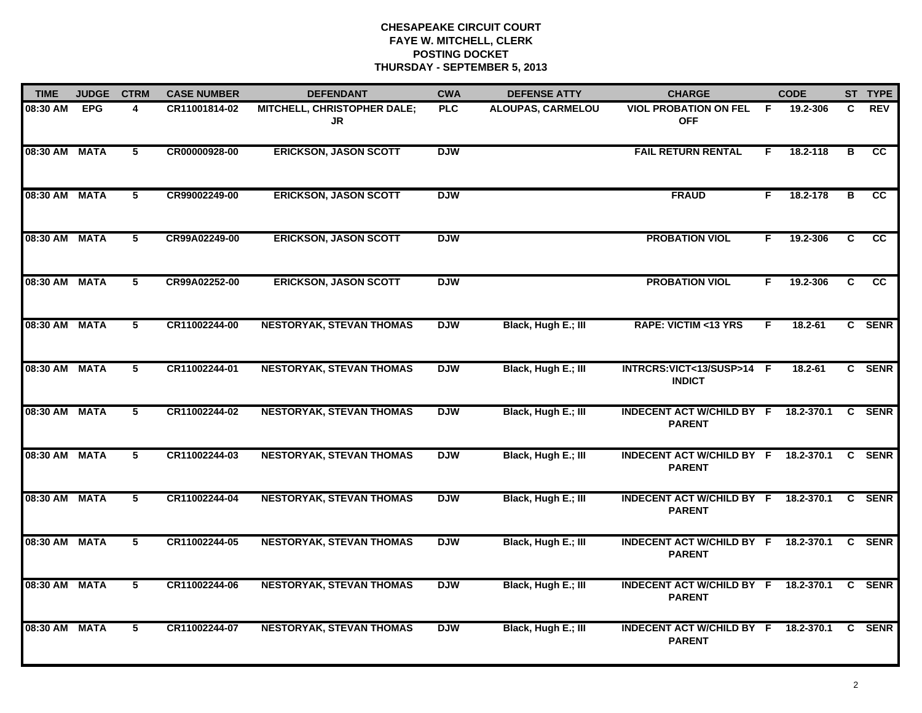| <b>TIME</b>   | <b>JUDGE</b> | <b>CTRM</b>    | <b>CASE NUMBER</b> | <b>DEFENDANT</b>                  | <b>CWA</b> | <b>DEFENSE ATTY</b> | <b>CHARGE</b>                                         |    | <b>CODE</b> |                | ST TYPE         |
|---------------|--------------|----------------|--------------------|-----------------------------------|------------|---------------------|-------------------------------------------------------|----|-------------|----------------|-----------------|
| 08:30 AM      | <b>EPG</b>   | 4              | CR11001814-02      | MITCHELL, CHRISTOPHER DALE;<br>JR | <b>PLC</b> | ALOUPAS, CARMELOU   | <b>VIOL PROBATION ON FEL</b><br><b>OFF</b>            | -F | 19.2-306    | C.             | <b>REV</b>      |
| 08:30 AM MATA |              | 5              | CR00000928-00      | <b>ERICKSON, JASON SCOTT</b>      | <b>DJW</b> |                     | <b>FAIL RETURN RENTAL</b>                             | F. | 18.2-118    | B              | <b>CC</b>       |
| 08:30 AM MATA |              | $\overline{5}$ | CR99002249-00      | <b>ERICKSON, JASON SCOTT</b>      | <b>DJW</b> |                     | <b>FRAUD</b>                                          | F. | 18.2-178    | $\overline{B}$ | $\overline{cc}$ |
| 08:30 AM MATA |              | 5              | CR99A02249-00      | <b>ERICKSON, JASON SCOTT</b>      | <b>DJW</b> |                     | <b>PROBATION VIOL</b>                                 | F. | 19.2-306    | C.             | <b>CC</b>       |
| 08:30 AM MATA |              | 5              | CR99A02252-00      | <b>ERICKSON, JASON SCOTT</b>      | <b>DJW</b> |                     | <b>PROBATION VIOL</b>                                 | F. | 19.2-306    | C              | <b>CC</b>       |
| 08:30 AM MATA |              | 5              | CR11002244-00      | <b>NESTORYAK, STEVAN THOMAS</b>   | <b>DJW</b> | Black, Hugh E.; III | <b>RAPE: VICTIM &lt;13 YRS</b>                        | F  | $18.2 - 61$ |                | C SENR          |
| 08:30 AM MATA |              | 5              | CR11002244-01      | <b>NESTORYAK, STEVAN THOMAS</b>   | <b>DJW</b> | Black, Hugh E.; III | INTRCRS:VICT<13/SUSP>14 F<br><b>INDICT</b>            |    | $18.2 - 61$ |                | C SENR          |
| 08:30 AM MATA |              | 5              | CR11002244-02      | <b>NESTORYAK, STEVAN THOMAS</b>   | <b>DJW</b> | Black, Hugh E.; III | <b>INDECENT ACT W/CHILD BY F</b><br><b>PARENT</b>     |    | 18.2-370.1  |                | C SENR          |
| 08:30 AM MATA |              | 5              | CR11002244-03      | <b>NESTORYAK, STEVAN THOMAS</b>   | <b>DJW</b> | Black, Hugh E.; III | <b>INDECENT ACT W/CHILD BY F</b><br><b>PARENT</b>     |    | 18.2-370.1  |                | C SENR          |
| 08:30 AM MATA |              | 5              | CR11002244-04      | <b>NESTORYAK, STEVAN THOMAS</b>   | <b>DJW</b> | Black, Hugh E.; III | <b>INDECENT ACT W/CHILD BY F</b><br><b>PARENT</b>     |    | 18.2-370.1  |                | C SENR          |
| 08:30 AM MATA |              | 5              | CR11002244-05      | <b>NESTORYAK, STEVAN THOMAS</b>   | <b>DJW</b> | Black, Hugh E.; III | INDECENT ACT W/CHILD BY F 18.2-370.1<br><b>PARENT</b> |    |             |                | C SENR          |
| 08:30 AM MATA |              | 5              | CR11002244-06      | <b>NESTORYAK, STEVAN THOMAS</b>   | <b>DJW</b> | Black, Hugh E.; III | <b>INDECENT ACT W/CHILD BY F</b><br><b>PARENT</b>     |    | 18.2-370.1  | C.             | <b>SENR</b>     |
| 08:30 AM MATA |              | 5              | CR11002244-07      | <b>NESTORYAK, STEVAN THOMAS</b>   | <b>DJW</b> | Black, Hugh E.; III | INDECENT ACT W/CHILD BY F<br><b>PARENT</b>            |    | 18.2-370.1  |                | C SENR          |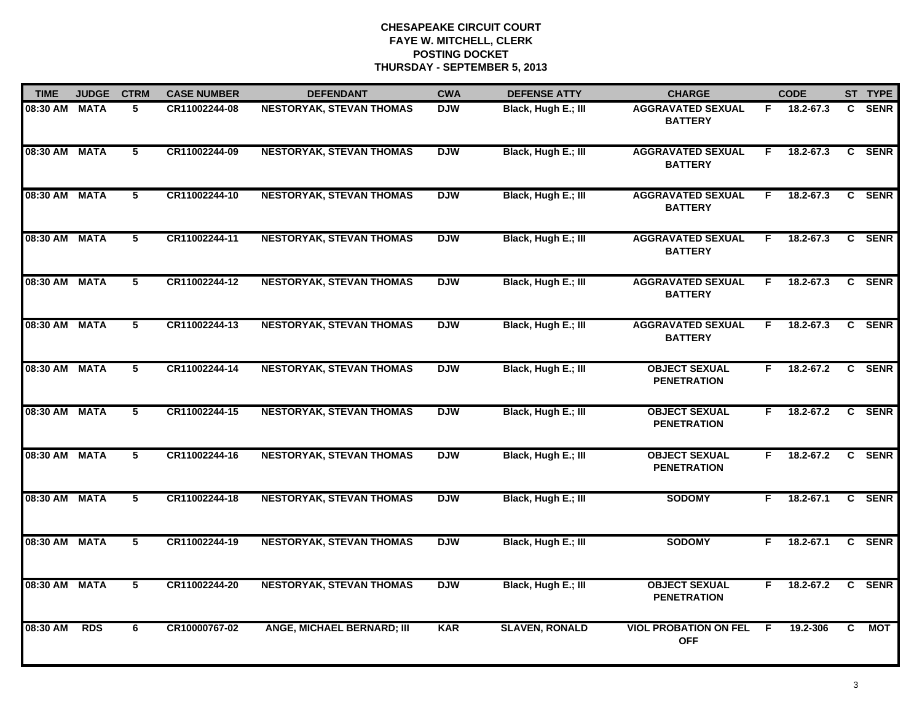| <b>TIME</b>   | <b>JUDGE</b> | <b>CTRM</b>    | <b>CASE NUMBER</b> | <b>DEFENDANT</b>                | <b>CWA</b> | <b>DEFENSE ATTY</b>   | <b>CHARGE</b>                              |    | <b>CODE</b>   |    | ST TYPE     |
|---------------|--------------|----------------|--------------------|---------------------------------|------------|-----------------------|--------------------------------------------|----|---------------|----|-------------|
| 08:30 AM MATA |              | 5              | CR11002244-08      | <b>NESTORYAK, STEVAN THOMAS</b> | <b>DJW</b> | Black, Hugh E.; III   | <b>AGGRAVATED SEXUAL</b><br><b>BATTERY</b> | F. | 18.2-67.3     |    | C SENR      |
| 08:30 AM MATA |              | 5              | CR11002244-09      | <b>NESTORYAK, STEVAN THOMAS</b> | <b>DJW</b> | Black, Hugh E.; III   | <b>AGGRAVATED SEXUAL</b><br><b>BATTERY</b> | F  | 18.2-67.3     |    | C SENR      |
| 08:30 AM MATA |              | $\overline{5}$ | CR11002244-10      | <b>NESTORYAK, STEVAN THOMAS</b> | <b>DJW</b> | Black, Hugh E.; III   | <b>AGGRAVATED SEXUAL</b><br><b>BATTERY</b> | F. | 18.2-67.3     |    | C SENR      |
| 08:30 AM MATA |              | 5              | CR11002244-11      | <b>NESTORYAK, STEVAN THOMAS</b> | <b>DJW</b> | Black, Hugh E.; III   | <b>AGGRAVATED SEXUAL</b><br><b>BATTERY</b> | F. | 18.2-67.3     |    | C SENR      |
| 08:30 AM MATA |              | 5              | CR11002244-12      | <b>NESTORYAK, STEVAN THOMAS</b> | <b>DJW</b> | Black, Hugh E.; III   | <b>AGGRAVATED SEXUAL</b><br><b>BATTERY</b> | F. | $18.2 - 67.3$ |    | C SENR      |
| 08:30 AM MATA |              | 5              | CR11002244-13      | <b>NESTORYAK, STEVAN THOMAS</b> | <b>DJW</b> | Black, Hugh E.; III   | <b>AGGRAVATED SEXUAL</b><br><b>BATTERY</b> | F. | 18.2-67.3     |    | C SENR      |
| 08:30 AM MATA |              | 5              | CR11002244-14      | <b>NESTORYAK, STEVAN THOMAS</b> | <b>DJW</b> | Black, Hugh E.; III   | <b>OBJECT SEXUAL</b><br><b>PENETRATION</b> | F. | $18.2 - 67.2$ |    | C SENR      |
| 08:30 AM MATA |              | 5              | CR11002244-15      | <b>NESTORYAK, STEVAN THOMAS</b> | <b>DJW</b> | Black, Hugh E.; III   | <b>OBJECT SEXUAL</b><br><b>PENETRATION</b> | F. | $18.2 - 67.2$ |    | C SENR      |
| 08:30 AM MATA |              | 5              | CR11002244-16      | <b>NESTORYAK, STEVAN THOMAS</b> | <b>DJW</b> | Black, Hugh E.; III   | <b>OBJECT SEXUAL</b><br><b>PENETRATION</b> | F. | $18.2 - 67.2$ |    | C SENR      |
| 08:30 AM MATA |              | 5              | CR11002244-18      | <b>NESTORYAK, STEVAN THOMAS</b> | <b>DJW</b> | Black, Hugh E.; III   | <b>SODOMY</b>                              | F. | $18.2 - 67.1$ |    | C SENR      |
| 08:30 AM MATA |              | 5              | CR11002244-19      | <b>NESTORYAK, STEVAN THOMAS</b> | <b>DJW</b> | Black, Hugh E.; III   | <b>SODOMY</b>                              | F. | $18.2 - 67.1$ |    | C SENR      |
| 08:30 AM MATA |              | 5              | CR11002244-20      | <b>NESTORYAK, STEVAN THOMAS</b> | <b>DJW</b> | Black, Hugh E.; III   | <b>OBJECT SEXUAL</b><br><b>PENETRATION</b> | F. | $18.2 - 67.2$ | C  | <b>SENR</b> |
| 08:30 AM      | <b>RDS</b>   | 6              | CR10000767-02      | ANGE, MICHAEL BERNARD; III      | <b>KAR</b> | <b>SLAVEN, RONALD</b> | <b>VIOL PROBATION ON FEL</b><br><b>OFF</b> | E  | 19.2-306      | C. | <b>MOT</b>  |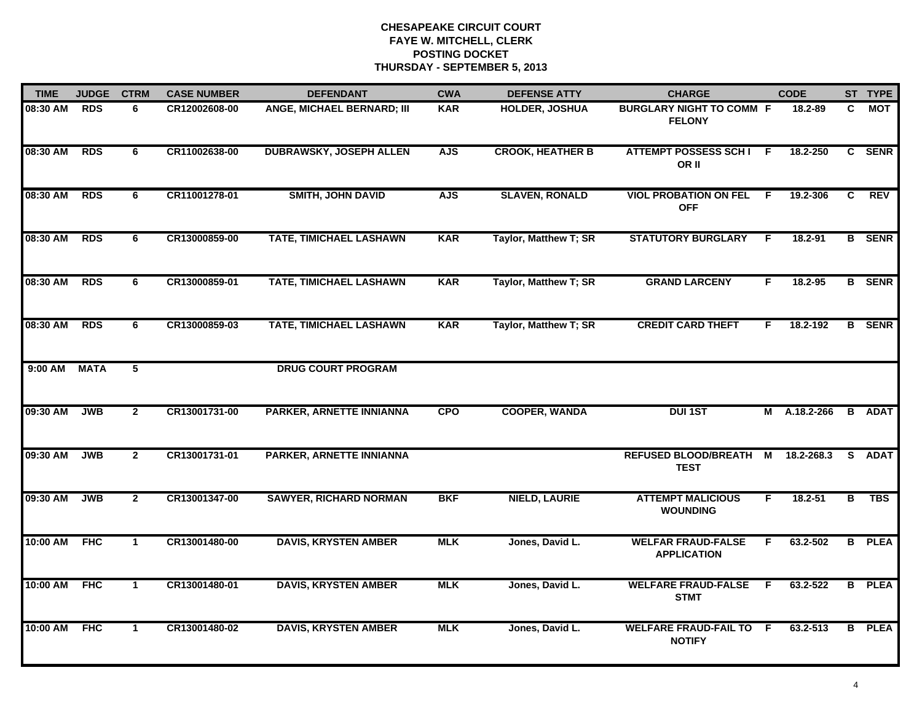| <b>TIME</b> | <b>JUDGE</b> | <b>CTRM</b>             | <b>CASE NUMBER</b> | <b>DEFENDANT</b>                | <b>CWA</b> | <b>DEFENSE ATTY</b>     | <b>CHARGE</b>                                    |    | <b>CODE</b>  |    | ST TYPE       |
|-------------|--------------|-------------------------|--------------------|---------------------------------|------------|-------------------------|--------------------------------------------------|----|--------------|----|---------------|
| 08:30 AM    | <b>RDS</b>   | 6                       | CR12002608-00      | ANGE, MICHAEL BERNARD; III      | <b>KAR</b> | <b>HOLDER, JOSHUA</b>   | <b>BURGLARY NIGHT TO COMM F</b><br><b>FELONY</b> |    | 18.2-89      | C. | МОТ           |
| 08:30 AM    | <b>RDS</b>   | 6                       | CR11002638-00      | <b>DUBRAWSKY, JOSEPH ALLEN</b>  | <b>AJS</b> | <b>CROOK, HEATHER B</b> | <b>ATTEMPT POSSESS SCHI F</b><br>OR II           |    | 18.2-250     |    | C SENR        |
| 08:30 AM    | <b>RDS</b>   | 6                       | CR11001278-01      | <b>SMITH, JOHN DAVID</b>        | <b>AJS</b> | <b>SLAVEN, RONALD</b>   | <b>VIOL PROBATION ON FEL</b><br><b>OFF</b>       | E  | 19.2-306     | C  | <b>REV</b>    |
| 08:30 AM    | <b>RDS</b>   | 6                       | CR13000859-00      | TATE, TIMICHAEL LASHAWN         | <b>KAR</b> | Taylor, Matthew T; SR   | <b>STATUTORY BURGLARY</b>                        | F. | 18.2-91      |    | <b>B</b> SENR |
| 08:30 AM    | <b>RDS</b>   | 6                       | CR13000859-01      | TATE, TIMICHAEL LASHAWN         | <b>KAR</b> | Taylor, Matthew T; SR   | <b>GRAND LARCENY</b>                             | F. | 18.2-95      |    | <b>B</b> SENR |
| 08:30 AM    | <b>RDS</b>   | 6                       | CR13000859-03      | TATE, TIMICHAEL LASHAWN         | <b>KAR</b> | Taylor, Matthew T; SR   | <b>CREDIT CARD THEFT</b>                         | F. | 18.2-192     |    | <b>B</b> SENR |
| $9:00$ AM   | <b>MATA</b>  | $\overline{\mathbf{5}}$ |                    | <b>DRUG COURT PROGRAM</b>       |            |                         |                                                  |    |              |    |               |
| 09:30 AM    | <b>JWB</b>   | $\overline{2}$          | CR13001731-00      | <b>PARKER, ARNETTE INNIANNA</b> | <b>CPO</b> | <b>COOPER, WANDA</b>    | <b>DUI 1ST</b>                                   |    | M A.18.2-266 |    | <b>B</b> ADAT |
| 09:30 AM    | <b>JWB</b>   | $\overline{2}$          | CR13001731-01      | PARKER, ARNETTE INNIANNA        |            |                         | REFUSED BLOOD/BREATH M<br><b>TEST</b>            |    | 18.2-268.3   |    | S ADAT        |
| 09:30 AM    | <b>JWB</b>   | $\overline{2}$          | CR13001347-00      | <b>SAWYER, RICHARD NORMAN</b>   | <b>BKF</b> | <b>NIELD, LAURIE</b>    | <b>ATTEMPT MALICIOUS</b><br><b>WOUNDING</b>      | F. | $18.2 - 51$  | в  | <b>TBS</b>    |
| 10:00 AM    | <b>FHC</b>   | $\mathbf 1$             | CR13001480-00      | <b>DAVIS, KRYSTEN AMBER</b>     | <b>MLK</b> | Jones, David L.         | <b>WELFAR FRAUD-FALSE</b><br><b>APPLICATION</b>  | F. | 63.2-502     |    | <b>B</b> PLEA |
| 10:00 AM    | <b>FHC</b>   | $\mathbf{1}$            | CR13001480-01      | <b>DAVIS, KRYSTEN AMBER</b>     | <b>MLK</b> | Jones, David L.         | <b>WELFARE FRAUD-FALSE</b><br><b>STMT</b>        | F. | 63.2-522     |    | <b>B</b> PLEA |
| 10:00 AM    | <b>FHC</b>   | $\mathbf 1$             | CR13001480-02      | <b>DAVIS, KRYSTEN AMBER</b>     | <b>MLK</b> | Jones, David L.         | <b>WELFARE FRAUD-FAIL TO F</b><br><b>NOTIFY</b>  |    | 63.2-513     |    | <b>B</b> PLEA |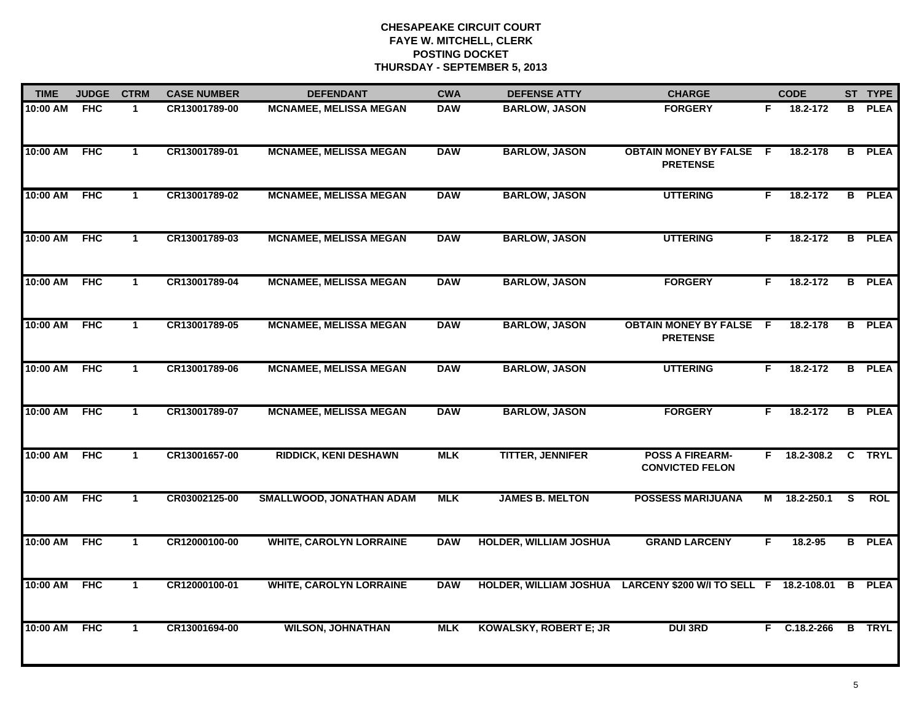| <b>TIME</b> | <b>JUDGE</b> | <b>CTRM</b>    | <b>CASE NUMBER</b> | <b>DEFENDANT</b>               | <b>CWA</b> | <b>DEFENSE ATTY</b>           | <b>CHARGE</b>                                                  |    | <b>CODE</b>    |          | ST TYPE       |
|-------------|--------------|----------------|--------------------|--------------------------------|------------|-------------------------------|----------------------------------------------------------------|----|----------------|----------|---------------|
| 10:00 AM    | <b>FHC</b>   | $\mathbf 1$    | CR13001789-00      | <b>MCNAMEE, MELISSA MEGAN</b>  | <b>DAW</b> | <b>BARLOW, JASON</b>          | <b>FORGERY</b>                                                 |    | F 18.2-172     | B.       | <b>PLEA</b>   |
| 10:00 AM    | <b>FHC</b>   | $\mathbf{1}$   | CR13001789-01      | <b>MCNAMEE, MELISSA MEGAN</b>  | <b>DAW</b> | <b>BARLOW, JASON</b>          | <b>OBTAIN MONEY BY FALSE F</b><br><b>PRETENSE</b>              |    | 18.2-178       |          | <b>B</b> PLEA |
| 10:00 AM    | <b>FHC</b>   | $\mathbf{1}$   | CR13001789-02      | <b>MCNAMEE, MELISSA MEGAN</b>  | <b>DAW</b> | <b>BARLOW, JASON</b>          | <b>UTTERING</b>                                                | F. | 18.2-172       |          | <b>B</b> PLEA |
| 10:00 AM    | <b>FHC</b>   | $\mathbf{1}$   | CR13001789-03      | <b>MCNAMEE, MELISSA MEGAN</b>  | <b>DAW</b> | <b>BARLOW, JASON</b>          | <b>UTTERING</b>                                                | F. | 18.2-172       |          | <b>B</b> PLEA |
| 10:00 AM    | <b>FHC</b>   | $\mathbf{1}$   | CR13001789-04      | <b>MCNAMEE, MELISSA MEGAN</b>  | <b>DAW</b> | <b>BARLOW, JASON</b>          | <b>FORGERY</b>                                                 | F. | 18.2-172       |          | <b>B</b> PLEA |
| 10:00 AM    | <b>FHC</b>   | $\mathbf{1}$   | CR13001789-05      | <b>MCNAMEE, MELISSA MEGAN</b>  | <b>DAW</b> | <b>BARLOW, JASON</b>          | <b>OBTAIN MONEY BY FALSE F</b><br><b>PRETENSE</b>              |    | 18.2-178       |          | <b>B</b> PLEA |
| 10:00 AM    | <b>FHC</b>   | $\overline{1}$ | CR13001789-06      | <b>MCNAMEE, MELISSA MEGAN</b>  | <b>DAW</b> | <b>BARLOW, JASON</b>          | <b>UTTERING</b>                                                | F. | 18.2-172       |          | <b>B</b> PLEA |
| 10:00 AM    | <b>FHC</b>   | $\mathbf{1}$   | CR13001789-07      | <b>MCNAMEE, MELISSA MEGAN</b>  | <b>DAW</b> | <b>BARLOW, JASON</b>          | <b>FORGERY</b>                                                 | F. | 18.2-172       |          | <b>B</b> PLEA |
| 10:00 AM    | <b>FHC</b>   | $\mathbf{1}$   | CR13001657-00      | <b>RIDDICK, KENI DESHAWN</b>   | <b>MLK</b> | <b>TITTER, JENNIFER</b>       | <b>POSS A FIREARM-</b><br><b>CONVICTED FELON</b>               | F  | 18.2-308.2     |          | C TRYL        |
| 10:00 AM    | <b>FHC</b>   | $\mathbf{1}$   | CR03002125-00      | SMALLWOOD, JONATHAN ADAM       | <b>MLK</b> | <b>JAMES B. MELTON</b>        | <b>POSSESS MARIJUANA</b>                                       | М  | 18.2-250.1     | <b>S</b> | <b>ROL</b>    |
| 10:00 AM    | <b>FHC</b>   | $\mathbf{1}$   | CR12000100-00      | <b>WHITE, CAROLYN LORRAINE</b> | <b>DAW</b> | <b>HOLDER, WILLIAM JOSHUA</b> | <b>GRAND LARCENY</b>                                           | F. | 18.2-95        |          | <b>B</b> PLEA |
| 10:00 AM    | <b>FHC</b>   | $\mathbf{1}$   | CR12000100-01      | <b>WHITE, CAROLYN LORRAINE</b> | <b>DAW</b> |                               | HOLDER, WILLIAM JOSHUA LARCENY \$200 W/I TO SELL F 18.2-108.01 |    |                |          | <b>B</b> PLEA |
| 10:00 AM    | <b>FHC</b>   | $\mathbf{1}$   | CR13001694-00      | <b>WILSON, JOHNATHAN</b>       | <b>MLK</b> | <b>KOWALSKY, ROBERT E; JR</b> | <b>DUI 3RD</b>                                                 |    | $F$ C.18.2-266 |          | <b>B</b> TRYL |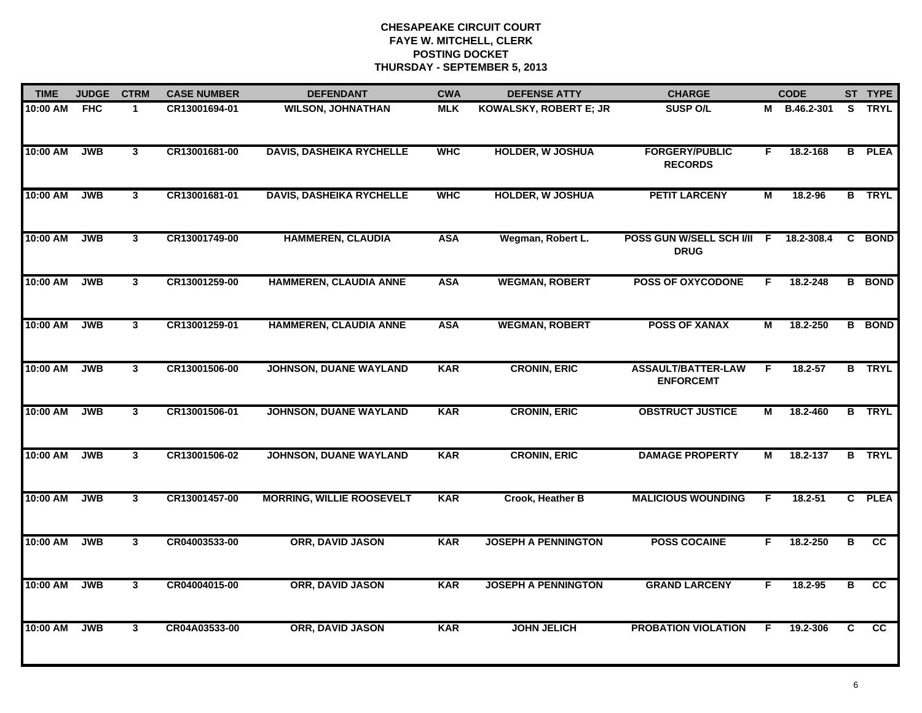| <b>TIME</b> | <b>JUDGE</b> | <b>CTRM</b>             | <b>CASE NUMBER</b> | <b>DEFENDANT</b>                 | <b>CWA</b> | <b>DEFENSE ATTY</b>           | <b>CHARGE</b>                                 |                         | <b>CODE</b>  |                         | ST TYPE         |
|-------------|--------------|-------------------------|--------------------|----------------------------------|------------|-------------------------------|-----------------------------------------------|-------------------------|--------------|-------------------------|-----------------|
| 10:00 AM    | <b>FHC</b>   | $\mathbf{1}$            | CR13001694-01      | <b>WILSON, JOHNATHAN</b>         | <b>MLK</b> | <b>KOWALSKY, ROBERT E; JR</b> | <b>SUSP O/L</b>                               |                         | M B.46.2-301 | S.                      | <b>TRYL</b>     |
| 10:00 AM    | <b>JWB</b>   | $\overline{3}$          | CR13001681-00      | <b>DAVIS, DASHEIKA RYCHELLE</b>  | <b>WHC</b> | <b>HOLDER, W JOSHUA</b>       | <b>FORGERY/PUBLIC</b><br><b>RECORDS</b>       | F.                      | 18.2-168     | $\overline{B}$          | <b>PLEA</b>     |
| 10:00 AM    | <b>JWB</b>   | $\overline{\mathbf{3}}$ | CR13001681-01      | <b>DAVIS, DASHEIKA RYCHELLE</b>  | <b>WHC</b> | <b>HOLDER, W JOSHUA</b>       | <b>PETIT LARCENY</b>                          | $\overline{M}$          | 18.2-96      |                         | <b>B</b> TRYL   |
| 10:00 AM    | <b>JWB</b>   | $\mathbf{3}$            | CR13001749-00      | <b>HAMMEREN, CLAUDIA</b>         | <b>ASA</b> | Wegman, Robert L.             | POSS GUN W/SELL SCH I/II F<br><b>DRUG</b>     |                         | 18.2-308.4   | $\mathbf{c}$            | <b>BOND</b>     |
| 10:00 AM    | <b>JWB</b>   | $\mathbf{3}$            | CR13001259-00      | <b>HAMMEREN, CLAUDIA ANNE</b>    | <b>ASA</b> | <b>WEGMAN, ROBERT</b>         | <b>POSS OF OXYCODONE</b>                      | F                       | 18.2-248     |                         | <b>B</b> BOND   |
| 10:00 AM    | <b>JWB</b>   | $\mathbf{3}$            | CR13001259-01      | <b>HAMMEREN, CLAUDIA ANNE</b>    | <b>ASA</b> | <b>WEGMAN, ROBERT</b>         | <b>POSS OF XANAX</b>                          | М                       | 18.2-250     |                         | <b>B</b> BOND   |
| 10:00 AM    | <b>JWB</b>   | $\overline{\mathbf{3}}$ | CR13001506-00      | JOHNSON, DUANE WAYLAND           | <b>KAR</b> | <b>CRONIN, ERIC</b>           | <b>ASSAULT/BATTER-LAW</b><br><b>ENFORCEMT</b> | F                       | $18.2 - 57$  |                         | <b>B</b> TRYL   |
| 10:00 AM    | <b>JWB</b>   | $\overline{3}$          | CR13001506-01      | JOHNSON, DUANE WAYLAND           | <b>KAR</b> | <b>CRONIN, ERIC</b>           | <b>OBSTRUCT JUSTICE</b>                       | $\overline{\mathsf{M}}$ | 18.2-460     |                         | <b>B</b> TRYL   |
| 10:00 AM    | <b>JWB</b>   | $\mathbf{3}$            | CR13001506-02      | <b>JOHNSON, DUANE WAYLAND</b>    | <b>KAR</b> | <b>CRONIN, ERIC</b>           | <b>DAMAGE PROPERTY</b>                        | М                       | 18.2-137     |                         | <b>B</b> TRYL   |
| 10:00 AM    | <b>JWB</b>   | $\mathbf{3}$            | CR13001457-00      | <b>MORRING, WILLIE ROOSEVELT</b> | <b>KAR</b> | Crook, Heather B              | <b>MALICIOUS WOUNDING</b>                     | F                       | $18.2 - 51$  |                         | C PLEA          |
| 10:00 AM    | <b>JWB</b>   | $\overline{\mathbf{3}}$ | CR04003533-00      | ORR, DAVID JASON                 | <b>KAR</b> | <b>JOSEPH A PENNINGTON</b>    | <b>POSS COCAINE</b>                           | F                       | 18.2-250     | $\overline{\mathbf{B}}$ | $\overline{cc}$ |
| 10:00 AM    | <b>JWB</b>   | $\mathbf{3}$            | CR04004015-00      | ORR, DAVID JASON                 | <b>KAR</b> | <b>JOSEPH A PENNINGTON</b>    | <b>GRAND LARCENY</b>                          | F                       | 18.2-95      | В                       | cc              |
| 10:00 AM    | <b>JWB</b>   | $\overline{3}$          | CR04A03533-00      | ORR, DAVID JASON                 | <b>KAR</b> | <b>JOHN JELICH</b>            | <b>PROBATION VIOLATION</b>                    | F                       | 19.2-306     | $\overline{c}$          | cc              |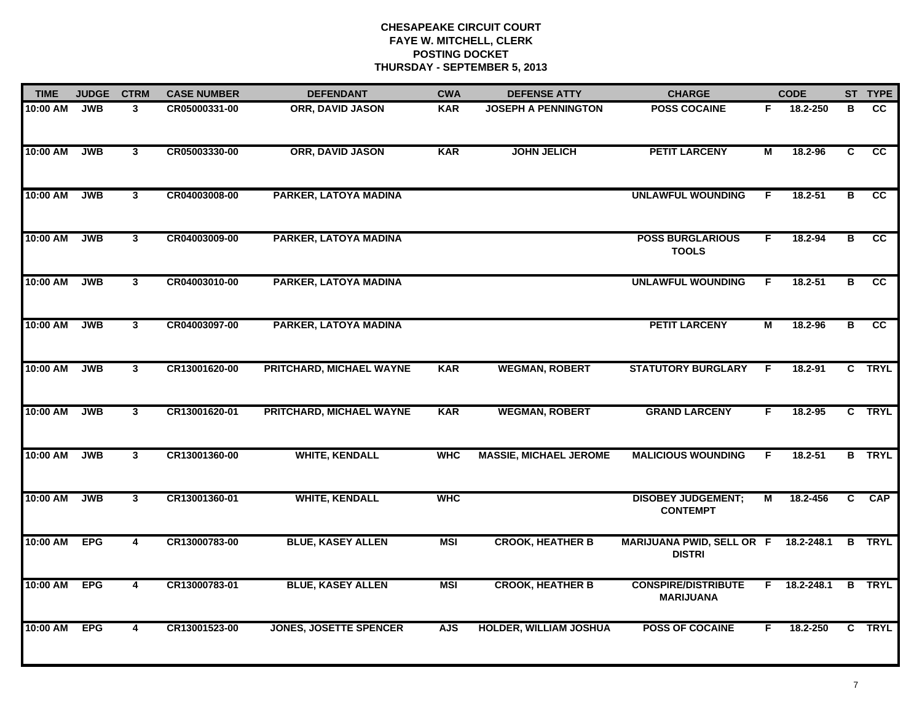| <b>TIME</b>  | <b>JUDGE</b> | <b>CTRM</b>    | <b>CASE NUMBER</b> | <b>DEFENDANT</b>              | <b>CWA</b> | <b>DEFENSE ATTY</b>           | <b>CHARGE</b>                                         |    | <b>CODE</b>    |    | ST TYPE       |
|--------------|--------------|----------------|--------------------|-------------------------------|------------|-------------------------------|-------------------------------------------------------|----|----------------|----|---------------|
| 10:00 AM     | <b>JWB</b>   | $\mathbf{3}$   | CR05000331-00      | ORR, DAVID JASON              | <b>KAR</b> | <b>JOSEPH A PENNINGTON</b>    | <b>POSS COCAINE</b>                                   | F. | 18.2-250       | в  | <b>CC</b>     |
| 10:00 AM     | <b>JWB</b>   | $\mathbf{3}$   | CR05003330-00      | ORR, DAVID JASON              | <b>KAR</b> | <b>JOHN JELICH</b>            | <b>PETIT LARCENY</b>                                  | М  | 18.2-96        | C  | cc            |
| 10:00 AM     | <b>JWB</b>   | $\mathbf{3}$   | CR04003008-00      | PARKER, LATOYA MADINA         |            |                               | <b>UNLAWFUL WOUNDING</b>                              | F. | $18.2 - 51$    | в  | cc            |
| 10:00 AM     | <b>JWB</b>   | $\mathbf{3}$   | CR04003009-00      | PARKER, LATOYA MADINA         |            |                               | <b>POSS BURGLARIOUS</b><br><b>TOOLS</b>               | F. | 18.2-94        | В  | <b>CC</b>     |
| 10:00 AM     | <b>JWB</b>   | $\mathbf{3}$   | CR04003010-00      | PARKER, LATOYA MADINA         |            |                               | <b>UNLAWFUL WOUNDING</b>                              | F. | $18.2 - 51$    | B  | <b>CC</b>     |
| 10:00 AM     | <b>JWB</b>   | $\mathbf{3}$   | CR04003097-00      | PARKER, LATOYA MADINA         |            |                               | <b>PETIT LARCENY</b>                                  | М  | 18.2-96        | в  | cc            |
| 10:00 AM     | <b>JWB</b>   | $\mathbf{3}$   | CR13001620-00      | PRITCHARD, MICHAEL WAYNE      | <b>KAR</b> | <b>WEGMAN, ROBERT</b>         | <b>STATUTORY BURGLARY</b>                             | F. | 18.2-91        |    | C TRYL        |
| 10:00 AM     | <b>JWB</b>   | 3              | CR13001620-01      | PRITCHARD, MICHAEL WAYNE      | <b>KAR</b> | <b>WEGMAN, ROBERT</b>         | <b>GRAND LARCENY</b>                                  | F  | 18.2-95        |    | C TRYL        |
| 10:00 AM     | <b>JWB</b>   | $\mathbf{3}$   | CR13001360-00      | <b>WHITE, KENDALL</b>         | <b>WHC</b> | <b>MASSIE, MICHAEL JEROME</b> | <b>MALICIOUS WOUNDING</b>                             | F. | $18.2 - 51$    |    | <b>B</b> TRYL |
| 10:00 AM     | <b>JWB</b>   | 3              | CR13001360-01      | <b>WHITE, KENDALL</b>         | <b>WHC</b> |                               | <b>DISOBEY JUDGEMENT;</b><br><b>CONTEMPT</b>          | М  | 18.2-456       | C. | <b>CAP</b>    |
| 10:00 AM EPG |              | 4              | CR13000783-00      | <b>BLUE, KASEY ALLEN</b>      | <b>MSI</b> | <b>CROOK, HEATHER B</b>       | MARIJUANA PWID, SELL OR F 18.2-248.1<br><b>DISTRI</b> |    |                |    | <b>B</b> TRYL |
| 10:00 AM EPG |              | 4              | CR13000783-01      | <b>BLUE, KASEY ALLEN</b>      | <b>MSI</b> | <b>CROOK, HEATHER B</b>       | <b>CONSPIRE/DISTRIBUTE</b><br><b>MARIJUANA</b>        |    | $F$ 18.2-248.1 |    | <b>B</b> TRYL |
| 10:00 AM     | <b>EPG</b>   | $\overline{4}$ | CR13001523-00      | <b>JONES, JOSETTE SPENCER</b> | <b>AJS</b> | <b>HOLDER, WILLIAM JOSHUA</b> | <b>POSS OF COCAINE</b>                                | F  | 18.2-250       |    | C TRYL        |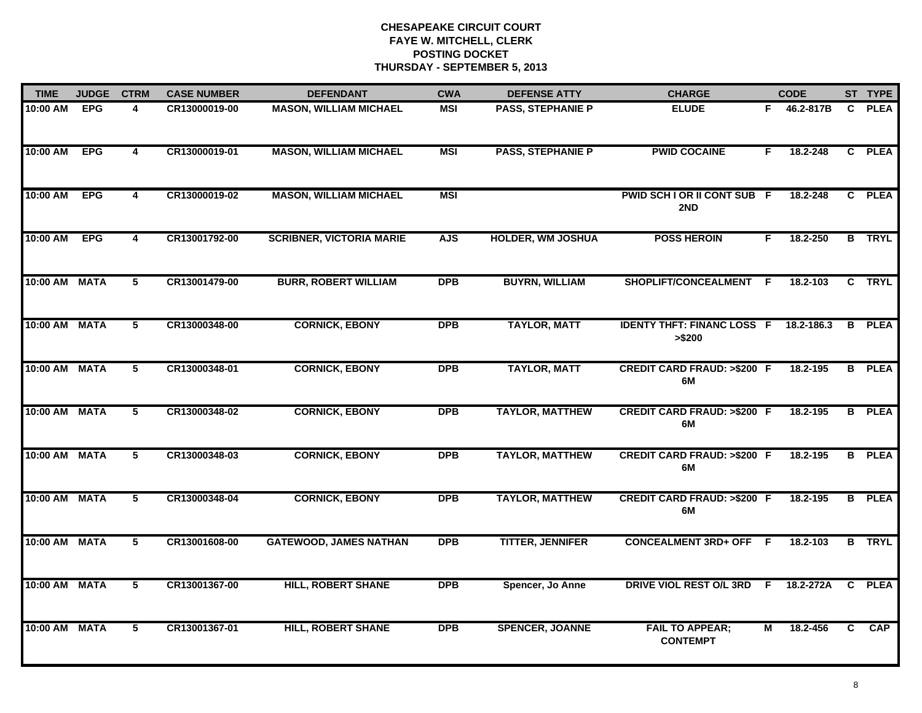| <b>TIME</b>   | <b>JUDGE</b> | <b>CTRM</b>             | <b>CASE NUMBER</b> | <b>DEFENDANT</b>                | <b>CWA</b> | <b>DEFENSE ATTY</b>      | <b>CHARGE</b>                                |     | <b>CODE</b> |    | ST TYPE       |
|---------------|--------------|-------------------------|--------------------|---------------------------------|------------|--------------------------|----------------------------------------------|-----|-------------|----|---------------|
| 10:00 AM      | <b>EPG</b>   | 4                       | CR13000019-00      | <b>MASON, WILLIAM MICHAEL</b>   | MSI        | <b>PASS, STEPHANIE P</b> | <b>ELUDE</b>                                 | F.  | 46.2-817B   | C. | <b>PLEA</b>   |
| 10:00 AM EPG  |              | 4                       | CR13000019-01      | <b>MASON, WILLIAM MICHAEL</b>   | <b>MSI</b> | <b>PASS, STEPHANIE P</b> | <b>PWID COCAINE</b>                          | F.  | 18.2-248    |    | C PLEA        |
| 10:00 AM EPG  |              | 4                       | CR13000019-02      | <b>MASON, WILLIAM MICHAEL</b>   | <b>MSI</b> |                          | PWID SCH I OR II CONT SUB F<br>2ND           |     | 18.2-248    |    | C PLEA        |
| 10:00 AM      | <b>EPG</b>   | $\overline{\mathbf{4}}$ | CR13001792-00      | <b>SCRIBNER, VICTORIA MARIE</b> | <b>AJS</b> | <b>HOLDER, WM JOSHUA</b> | <b>POSS HEROIN</b>                           | F.  | 18.2-250    |    | <b>B</b> TRYL |
| 10:00 AM MATA |              | 5                       | CR13001479-00      | <b>BURR, ROBERT WILLIAM</b>     | <b>DPB</b> | <b>BUYRN, WILLIAM</b>    | SHOPLIFT/CONCEALMENT                         | -F. | 18.2-103    |    | C TRYL        |
| 10:00 AM MATA |              | 5                       | CR13000348-00      | <b>CORNICK, EBONY</b>           | <b>DPB</b> | <b>TAYLOR, MATT</b>      | <b>IDENTY THFT: FINANC LOSS F</b><br>> \$200 |     | 18.2-186.3  |    | <b>B</b> PLEA |
| 10:00 AM MATA |              | $\overline{5}$          | CR13000348-01      | <b>CORNICK, EBONY</b>           | DPB        | <b>TAYLOR, MATT</b>      | <b>CREDIT CARD FRAUD: &gt;\$200 F</b><br>6M  |     | 18.2-195    | B  | <b>PLEA</b>   |
| 10:00 AM MATA |              | 5                       | CR13000348-02      | <b>CORNICK, EBONY</b>           | <b>DPB</b> | <b>TAYLOR, MATTHEW</b>   | <b>CREDIT CARD FRAUD: &gt;\$200 F</b><br>6M  |     | 18.2-195    |    | <b>B</b> PLEA |
| 10:00 AM MATA |              | 5                       | CR13000348-03      | <b>CORNICK, EBONY</b>           | <b>DPB</b> | <b>TAYLOR, MATTHEW</b>   | <b>CREDIT CARD FRAUD: &gt;\$200 F</b><br>6M  |     | 18.2-195    |    | <b>B</b> PLEA |
| 10:00 AM MATA |              | 5                       | CR13000348-04      | <b>CORNICK, EBONY</b>           | <b>DPB</b> | <b>TAYLOR, MATTHEW</b>   | <b>CREDIT CARD FRAUD: &gt;\$200 F</b><br>6M  |     | 18.2-195    |    | <b>B</b> PLEA |
| 10:00 AM MATA |              | 5                       | CR13001608-00      | <b>GATEWOOD, JAMES NATHAN</b>   | <b>DPB</b> | <b>TITTER, JENNIFER</b>  | <b>CONCEALMENT 3RD+ OFF F</b>                |     | 18.2-103    |    | <b>B</b> TRYL |
| 10:00 AM MATA |              | $\overline{5}$          | CR13001367-00      | <b>HILL, ROBERT SHANE</b>       | DPB        | Spencer, Jo Anne         | <b>DRIVE VIOL REST O/L 3RD</b>               | F.  | 18.2-272A   | C  | <b>PLEA</b>   |
| 10:00 AM MATA |              | $5\phantom{.0}$         | CR13001367-01      | <b>HILL, ROBERT SHANE</b>       | <b>DPB</b> | <b>SPENCER, JOANNE</b>   | <b>FAIL TO APPEAR;</b><br><b>CONTEMPT</b>    | М   | 18.2-456    | C  | <b>CAP</b>    |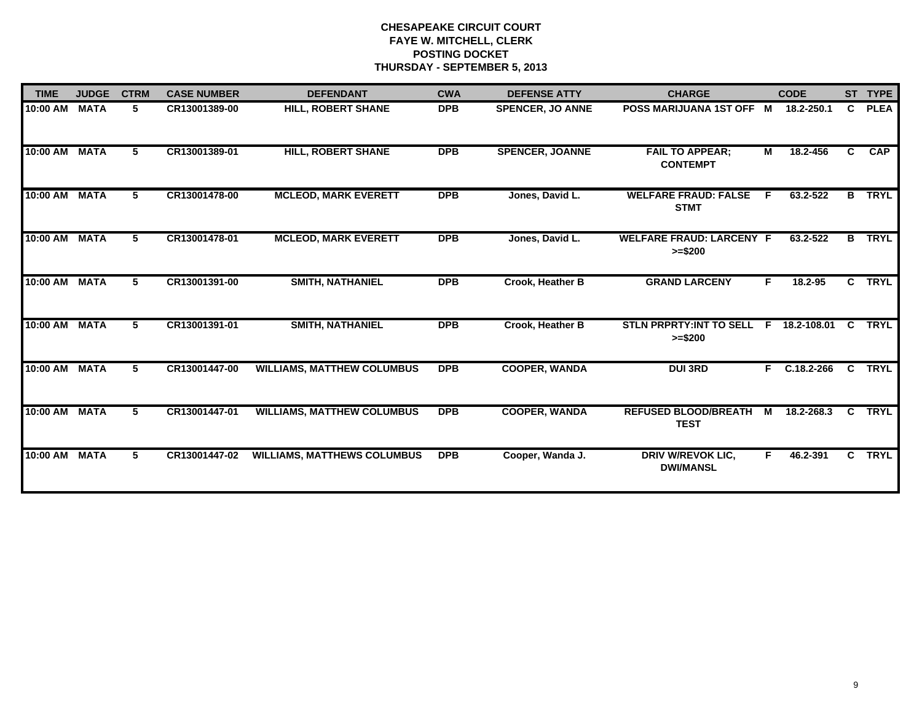| <b>TIME</b> | <b>JUDGE</b> | <b>CTRM</b> | <b>CASE NUMBER</b> | <b>DEFENDANT</b>                   | <b>CWA</b> | <b>DEFENSE ATTY</b>     | <b>CHARGE</b>                                |    | <b>CODE</b>    |              | ST TYPE     |
|-------------|--------------|-------------|--------------------|------------------------------------|------------|-------------------------|----------------------------------------------|----|----------------|--------------|-------------|
| 10:00 AM    | <b>MATA</b>  | 5           | CR13001389-00      | <b>HILL, ROBERT SHANE</b>          | <b>DPB</b> | <b>SPENCER, JO ANNE</b> | POSS MARIJUANA 1ST OFF M                     |    | 18.2-250.1     | C            | <b>PLEA</b> |
| 10:00 AM    | <b>MATA</b>  | 5.          | CR13001389-01      | <b>HILL, ROBERT SHANE</b>          | <b>DPB</b> | <b>SPENCER, JOANNE</b>  | <b>FAIL TO APPEAR;</b><br><b>CONTEMPT</b>    | М  | 18.2-456       | C.           | <b>CAP</b>  |
| 10:00 AM    | <b>MATA</b>  | 5           | CR13001478-00      | <b>MCLEOD, MARK EVERETT</b>        | <b>DPB</b> | Jones, David L.         | <b>WELFARE FRAUD: FALSE</b><br><b>STMT</b>   | E  | 63.2-522       | B            | <b>TRYL</b> |
| 10:00 AM    | <b>MATA</b>  | 5           | CR13001478-01      | <b>MCLEOD, MARK EVERETT</b>        | <b>DPB</b> | Jones, David L.         | <b>WELFARE FRAUD: LARCENY F</b><br>$>= $200$ |    | 63.2-522       | B            | <b>TRYL</b> |
| 10:00 AM    | <b>MATA</b>  | 5           | CR13001391-00      | <b>SMITH, NATHANIEL</b>            | <b>DPB</b> | Crook, Heather B        | <b>GRAND LARCENY</b>                         | F. | 18.2-95        | $\mathbf{c}$ | <b>TRYL</b> |
| 10:00 AM    | <b>MATA</b>  | 5           | CR13001391-01      | <b>SMITH, NATHANIEL</b>            | <b>DPB</b> | <b>Crook, Heather B</b> | <b>STLN PRPRTY:INT TO SELL</b><br>$>= $200$  |    | F 18.2-108.01  | C            | <b>TRYL</b> |
| 10:00 AM    | <b>MATA</b>  | 5.          | CR13001447-00      | <b>WILLIAMS, MATTHEW COLUMBUS</b>  | <b>DPB</b> | <b>COOPER, WANDA</b>    | <b>DUI 3RD</b>                               | F. | $C.18.2 - 266$ | C            | <b>TRYL</b> |
| 10:00 AM    | <b>MATA</b>  | 5           | CR13001447-01      | <b>WILLIAMS, MATTHEW COLUMBUS</b>  | <b>DPB</b> | <b>COOPER, WANDA</b>    | <b>REFUSED BLOOD/BREATH</b><br><b>TEST</b>   | м  | 18.2-268.3     | C            | <b>TRYL</b> |
| 10:00 AM    | <b>MATA</b>  | 5           | CR13001447-02      | <b>WILLIAMS, MATTHEWS COLUMBUS</b> | <b>DPB</b> | Cooper, Wanda J.        | <b>DRIV W/REVOK LIC,</b><br><b>DWI/MANSL</b> | F. | 46.2-391       |              | C TRYL      |